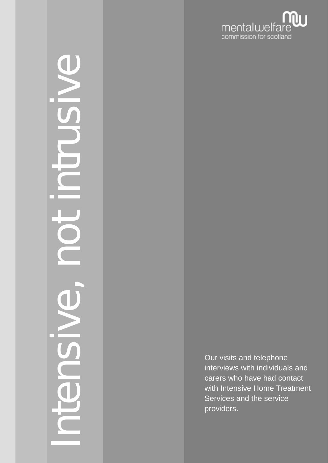

# Intensive, not intrusive  $\overline{\mathbb{C}}$

Our visits and telephone interviews with individuals and carers who have had contact with Intensive Home Treatment Services and the service providers.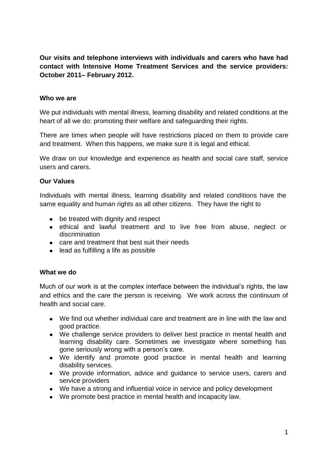**Our visits and telephone interviews with individuals and carers who have had contact with Intensive Home Treatment Services and the service providers: October 2011– February 2012.**

#### **Who we are**

We put individuals with mental illness, learning disability and related conditions at the heart of all we do: promoting their welfare and safeguarding their rights.

There are times when people will have restrictions placed on them to provide care and treatment. When this happens, we make sure it is legal and ethical.

We draw on our knowledge and experience as health and social care staff, service users and carers.

## **Our Values**

Individuals with mental illness, learning disability and related conditions have the same equality and human rights as all other citizens. They have the right to

- be treated with dignity and respect
- ethical and lawful treatment and to live free from abuse, neglect or discrimination
- care and treatment that best suit their needs
- lead as fulfilling a life as possible

#### **What we do**

Much of our work is at the complex interface between the individual"s rights, the law and ethics and the care the person is receiving. We work across the continuum of health and social care.

- We find out whether individual care and treatment are in line with the law and good practice.
- We challenge service providers to deliver best practice in mental health and learning disability care. Sometimes we investigate where something has gone seriously wrong with a person's care.
- We identify and promote good practice in mental health and learning disability services.
- We provide information, advice and guidance to service users, carers and service providers
- We have a strong and influential voice in service and policy development
- We promote best practice in mental health and incapacity law.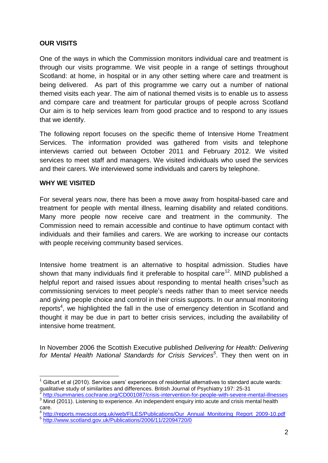# **OUR VISITS**

One of the ways in which the Commission monitors individual care and treatment is through our visits programme. We visit people in a range of settings throughout Scotland: at home, in hospital or in any other setting where care and treatment is being delivered. As part of this programme we carry out a number of national themed visits each year. The aim of national themed visits is to enable us to assess and compare care and treatment for particular groups of people across Scotland Our aim is to help services learn from good practice and to respond to any issues that we identify.

The following report focuses on the specific theme of Intensive Home Treatment Services. The information provided was gathered from visits and telephone interviews carried out between October 2011 and February 2012. We visited services to meet staff and managers. We visited individuals who used the services and their carers. We interviewed some individuals and carers by telephone.

# **WHY WE VISITED**

For several years now, there has been a move away from hospital-based care and treatment for people with mental illness, learning disability and related conditions. Many more people now receive care and treatment in the community. The Commission need to remain accessible and continue to have optimum contact with individuals and their families and carers. We are working to increase our contacts with people receiving community based services.

Intensive home treatment is an alternative to hospital admission. Studies have shown that many individuals find it preferable to hospital care<sup>12</sup>. MIND published a helpful report and raised issues about responding to mental health crises<sup>3</sup>such as commissioning services to meet people"s needs rather than to meet service needs and giving people choice and control in their crisis supports. In our annual monitoring reports<sup>4</sup>, we highlighted the fall in the use of emergency detention in Scotland and thought it may be due in part to better crisis services, including the availability of intensive home treatment.

In November 2006 the Scottish Executive published *Delivering for Health: Delivering for Mental Health National Standards for Crisis Services<sup>5</sup>* . They then went on in

<sup>1</sup> Gilburt et al (2010). Service users' experiences of residential alternatives to standard acute wards: qualitative study of similarities and differences. British Journal of Psychiatry 197: 25-31<br><sup>2</sup> http://gummaries.coobrane.crg/CD001087/eriais.intervention for peeple with acuses.p

<http://summaries.cochrane.org/CD001087/crisis-intervention-for-people-with-severe-mental-illnesses> 3 Mind (2011). Listening to experience. An independent enquiry into acute and crisis mental health care.

<sup>4</sup> [http://reports.mwcscot.org.uk/web/FILES/Publications/Our\\_Annual\\_Monitoring\\_Report\\_2009-10.pdf](http://reports.mwcscot.org.uk/web/FILES/Publications/Our_Annual_Monitoring_Report_2009-10.pdf) 5 <http://www.scotland.gov.uk/Publications/2006/11/22094720/0>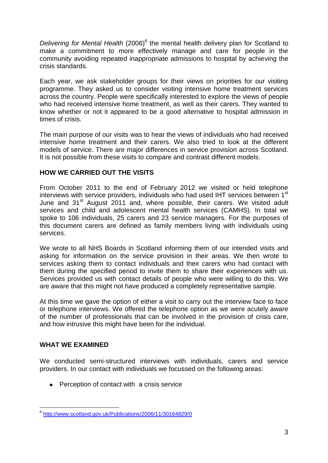Delivering for Mental Health (2006)<sup>6</sup> the mental health delivery plan for Scotland to make a commitment to more effectively manage and care for people in the community avoiding repeated inappropriate admissions to hospital by achieving the crisis standards.

Each year, we ask stakeholder groups for their views on priorities for our visiting programme. They asked us to consider visiting intensive home treatment services across the country. People were specifically interested to explore the views of people who had received intensive home treatment, as well as their carers. They wanted to know whether or not it appeared to be a good alternative to hospital admission in times of crisis.

The main purpose of our visits was to hear the views of individuals who had received intensive home treatment and their carers. We also tried to look at the different models of service. There are major differences in service provision across Scotland. It is not possible from these visits to compare and contrast different models.

# **HOW WE CARRIED OUT THE VISITS**

From October 2011 to the end of February 2012 we visited or held telephone interviews with service providers, individuals who had used IHT services between 1<sup>st</sup> June and 31<sup>st</sup> August 2011 and, where possible, their carers. We visited adult services and child and adolescent mental health services (CAMHS). In total we spoke to 106 individuals, 25 carers and 23 service managers. For the purposes of this document carers are defined as family members living with individuals using services.

We wrote to all NHS Boards in Scotland informing them of our intended visits and asking for information on the service provision in their areas. We then wrote to services asking them to contact individuals and their carers who had contact with them during the specified period to invite them to share their experiences with us. Services provided us with contact details of people who were willing to do this. We are aware that this might not have produced a completely representative sample.

At this time we gave the option of either a visit to carry out the interview face to face or telephone interviews. We offered the telephone option as we were acutely aware of the number of professionals that can be involved in the provision of crisis care, and how intrusive this might have been for the individual.

# **WHAT WE EXAMINED**

We conducted semi-structured interviews with individuals, carers and service providers. In our contact with individuals we focussed on the following areas:

• Perception of contact with a crisis service

<sup>–&</sup>lt;br><sup>6</sup> <u><http://www.scotland.gov.uk/Publications/2006/11/30164829/0></u>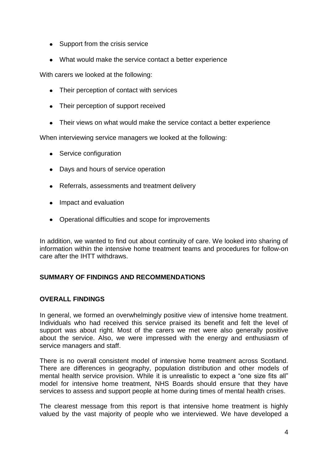- Support from the crisis service
- What would make the service contact a better experience

With carers we looked at the following:

- Their perception of contact with services
- Their perception of support received
- Their views on what would make the service contact a better experience

When interviewing service managers we looked at the following:

- Service configuration
- Days and hours of service operation
- Referrals, assessments and treatment delivery
- Impact and evaluation
- Operational difficulties and scope for improvements

In addition, we wanted to find out about continuity of care. We looked into sharing of information within the intensive home treatment teams and procedures for follow-on care after the IHTT withdraws.

# **SUMMARY OF FINDINGS AND RECOMMENDATIONS**

# **OVERALL FINDINGS**

In general, we formed an overwhelmingly positive view of intensive home treatment. Individuals who had received this service praised its benefit and felt the level of support was about right. Most of the carers we met were also generally positive about the service. Also, we were impressed with the energy and enthusiasm of service managers and staff.

There is no overall consistent model of intensive home treatment across Scotland. There are differences in geography, population distribution and other models of mental health service provision. While it is unrealistic to expect a "one size fits all" model for intensive home treatment, NHS Boards should ensure that they have services to assess and support people at home during times of mental health crises.

The clearest message from this report is that intensive home treatment is highly valued by the vast majority of people who we interviewed. We have developed a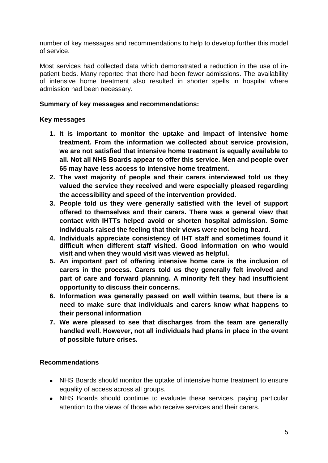number of key messages and recommendations to help to develop further this model of service.

Most services had collected data which demonstrated a reduction in the use of inpatient beds. Many reported that there had been fewer admissions. The availability of intensive home treatment also resulted in shorter spells in hospital where admission had been necessary.

## **Summary of key messages and recommendations:**

## **Key messages**

- **1. It is important to monitor the uptake and impact of intensive home treatment. From the information we collected about service provision, we are not satisfied that intensive home treatment is equally available to all. Not all NHS Boards appear to offer this service. Men and people over 65 may have less access to intensive home treatment.**
- **2. The vast majority of people and their carers interviewed told us they valued the service they received and were especially pleased regarding the accessibility and speed of the intervention provided.**
- **3. People told us they were generally satisfied with the level of support offered to themselves and their carers. There was a general view that contact with IHTTs helped avoid or shorten hospital admission. Some individuals raised the feeling that their views were not being heard.**
- **4. Individuals appreciate consistency of IHT staff and sometimes found it difficult when different staff visited. Good information on who would visit and when they would visit was viewed as helpful.**
- **5. An important part of offering intensive home care is the inclusion of carers in the process. Carers told us they generally felt involved and part of care and forward planning. A minority felt they had insufficient opportunity to discuss their concerns.**
- **6. Information was generally passed on well within teams, but there is a need to make sure that individuals and carers know what happens to their personal information**
- **7. We were pleased to see that discharges from the team are generally handled well. However, not all individuals had plans in place in the event of possible future crises.**

# **Recommendations**

- NHS Boards should monitor the uptake of intensive home treatment to ensure equality of access across all groups.
- NHS Boards should continue to evaluate these services, paying particular attention to the views of those who receive services and their carers.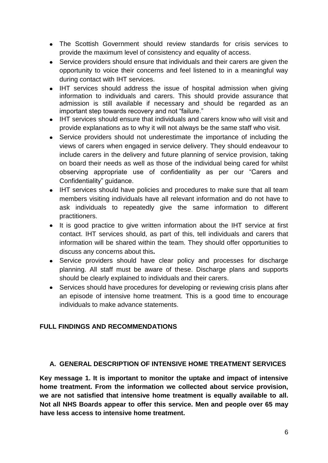- The Scottish Government should review standards for crisis services to provide the maximum level of consistency and equality of access.
- Service providers should ensure that individuals and their carers are given the opportunity to voice their concerns and feel listened to in a meaningful way during contact with IHT services.
- IHT services should address the issue of hospital admission when giving information to individuals and carers. This should provide assurance that admission is still available if necessary and should be regarded as an important step towards recovery and not "failure."
- IHT services should ensure that individuals and carers know who will visit and provide explanations as to why it will not always be the same staff who visit.
- Service providers should not underestimate the importance of including the views of carers when engaged in service delivery. They should endeavour to include carers in the delivery and future planning of service provision, taking on board their needs as well as those of the individual being cared for whilst observing appropriate use of confidentiality as per our "Carers and Confidentiality" guidance.
- IHT services should have policies and procedures to make sure that all team members visiting individuals have all relevant information and do not have to ask individuals to repeatedly give the same information to different practitioners.
- It is good practice to give written information about the IHT service at first contact. IHT services should, as part of this, tell individuals and carers that information will be shared within the team. They should offer opportunities to discuss any concerns about this**.**
- $\bullet$ Service providers should have clear policy and processes for discharge planning. All staff must be aware of these. Discharge plans and supports should be clearly explained to individuals and their carers.
- Services should have procedures for developing or reviewing crisis plans after an episode of intensive home treatment. This is a good time to encourage individuals to make advance statements.

# **FULL FINDINGS AND RECOMMENDATIONS**

# **A. GENERAL DESCRIPTION OF INTENSIVE HOME TREATMENT SERVICES**

**Key message 1. It is important to monitor the uptake and impact of intensive home treatment. From the information we collected about service provision, we are not satisfied that intensive home treatment is equally available to all. Not all NHS Boards appear to offer this service. Men and people over 65 may have less access to intensive home treatment.**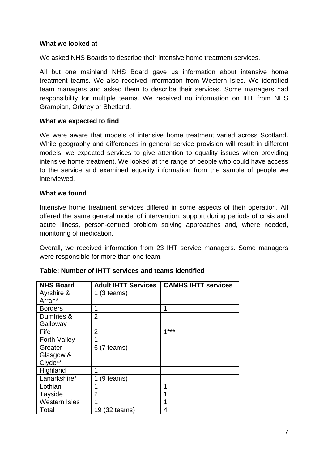## **What we looked at**

We asked NHS Boards to describe their intensive home treatment services.

All but one mainland NHS Board gave us information about intensive home treatment teams. We also received information from Western Isles. We identified team managers and asked them to describe their services. Some managers had responsibility for multiple teams. We received no information on IHT from NHS Grampian, Orkney or Shetland.

## **What we expected to find**

We were aware that models of intensive home treatment varied across Scotland. While geography and differences in general service provision will result in different models, we expected services to give attention to equality issues when providing intensive home treatment. We looked at the range of people who could have access to the service and examined equality information from the sample of people we interviewed.

#### **What we found**

Intensive home treatment services differed in some aspects of their operation. All offered the same general model of intervention: support during periods of crisis and acute illness, person-centred problem solving approaches and, where needed, monitoring of medication.

Overall, we received information from 23 IHT service managers. Some managers were responsible for more than one team.

| <b>NHS Board</b>     | <b>Adult IHTT Services</b> | <b>CAMHS IHTT services</b> |
|----------------------|----------------------------|----------------------------|
| Ayrshire &           | $1(3$ teams)               |                            |
| Arran*               |                            |                            |
| <b>Borders</b>       | 1                          | 1                          |
| Dumfries &           | $\overline{2}$             |                            |
| Galloway             |                            |                            |
| Fife                 | $\overline{2}$             | $4***$                     |
| <b>Forth Valley</b>  |                            |                            |
| Greater              | $6(7$ teams)               |                            |
| Glasgow &            |                            |                            |
| Clyde**              |                            |                            |
| Highland             | 1                          |                            |
| Lanarkshire*         | (9 teams)                  |                            |
| Lothian              |                            | 1                          |
| Tayside              | $\overline{2}$             |                            |
| <b>Western Isles</b> |                            | 1                          |
| Total                | 19 (32 teams)              | 4                          |

# **Table: Number of IHTT services and teams identified**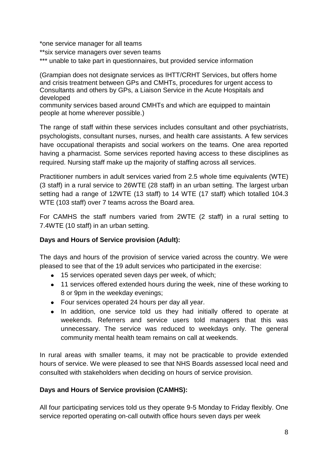\*one service manager for all teams

- \*\*six service managers over seven teams
- \*\*\* unable to take part in questionnaires, but provided service information

(Grampian does not designate services as IHTT/CRHT Services, but offers home and crisis treatment between GPs and CMHTs, procedures for urgent access to Consultants and others by GPs, a Liaison Service in the Acute Hospitals and developed

community services based around CMHTs and which are equipped to maintain people at home wherever possible.)

The range of staff within these services includes consultant and other psychiatrists, psychologists, consultant nurses, nurses, and health care assistants. A few services have occupational therapists and social workers on the teams. One area reported having a pharmacist. Some services reported having access to these disciplines as required. Nursing staff make up the majority of staffing across all services.

Practitioner numbers in adult services varied from 2.5 whole time equivalents (WTE) (3 staff) in a rural service to 26WTE (28 staff) in an urban setting. The largest urban setting had a range of 12WTE (13 staff) to 14 WTE (17 staff) which totalled 104.3 WTE (103 staff) over 7 teams across the Board area.

For CAMHS the staff numbers varied from 2WTE (2 staff) in a rural setting to 7.4WTE (10 staff) in an urban setting.

# **Days and Hours of Service provision (Adult):**

The days and hours of the provision of service varied across the country. We were pleased to see that of the 19 adult services who participated in the exercise:

- 15 services operated seven days per week, of which;
- 11 services offered extended hours during the week, nine of these working to 8 or 9pm in the weekday evenings;
- Four services operated 24 hours per day all year.
- In addition, one service told us they had initially offered to operate at  $\bullet$ weekends. Referrers and service users told managers that this was unnecessary. The service was reduced to weekdays only. The general community mental health team remains on call at weekends.

In rural areas with smaller teams, it may not be practicable to provide extended hours of service. We were pleased to see that NHS Boards assessed local need and consulted with stakeholders when deciding on hours of service provision.

# **Days and Hours of Service provision (CAMHS):**

All four participating services told us they operate 9-5 Monday to Friday flexibly. One service reported operating on-call outwith office hours seven days per week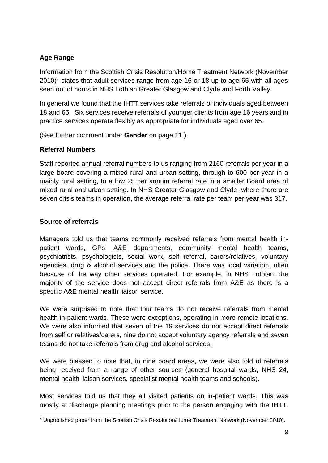# **Age Range**

Information from the Scottish Crisis Resolution/Home Treatment Network (November 2010)<sup>7</sup> states that adult services range from age 16 or 18 up to age 65 with all ages seen out of hours in NHS Lothian Greater Glasgow and Clyde and Forth Valley.

In general we found that the IHTT services take referrals of individuals aged between 18 and 65. Six services receive referrals of younger clients from age 16 years and in practice services operate flexibly as appropriate for individuals aged over 65.

(See further comment under **Gender** on page 11.)

# **Referral Numbers**

Staff reported annual referral numbers to us ranging from 2160 referrals per year in a large board covering a mixed rural and urban setting, through to 600 per year in a mainly rural setting, to a low 25 per annum referral rate in a smaller Board area of mixed rural and urban setting. In NHS Greater Glasgow and Clyde, where there are seven crisis teams in operation, the average referral rate per team per year was 317.

# **Source of referrals**

Managers told us that teams commonly received referrals from mental health inpatient wards, GPs, A&E departments, community mental health teams, psychiatrists, psychologists, social work, self referral, carers/relatives, voluntary agencies, drug & alcohol services and the police. There was local variation, often because of the way other services operated. For example, in NHS Lothian, the majority of the service does not accept direct referrals from A&E as there is a specific A&E mental health liaison service.

We were surprised to note that four teams do not receive referrals from mental health in-patient wards. These were exceptions, operating in more remote locations. We were also informed that seven of the 19 services do not accept direct referrals from self or relatives/carers, nine do not accept voluntary agency referrals and seven teams do not take referrals from drug and alcohol services.

We were pleased to note that, in nine board areas, we were also told of referrals being received from a range of other sources (general hospital wards, NHS 24, mental health liaison services, specialist mental health teams and schools).

Most services told us that they all visited patients on in-patient wards. This was mostly at discharge planning meetings prior to the person engaging with the IHTT.

<sup>1</sup>  $7$  Unpublished paper from the Scottish Crisis Resolution/Home Treatment Network (November 2010).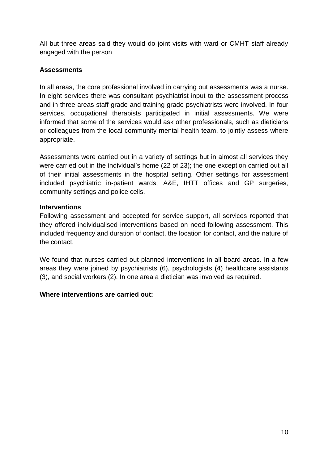All but three areas said they would do joint visits with ward or CMHT staff already engaged with the person

# **Assessments**

In all areas, the core professional involved in carrying out assessments was a nurse. In eight services there was consultant psychiatrist input to the assessment process and in three areas staff grade and training grade psychiatrists were involved. In four services, occupational therapists participated in initial assessments. We were informed that some of the services would ask other professionals, such as dieticians or colleagues from the local community mental health team, to jointly assess where appropriate.

Assessments were carried out in a variety of settings but in almost all services they were carried out in the individual"s home (22 of 23); the one exception carried out all of their initial assessments in the hospital setting. Other settings for assessment included psychiatric in-patient wards, A&E, IHTT offices and GP surgeries, community settings and police cells.

# **Interventions**

Following assessment and accepted for service support, all services reported that they offered individualised interventions based on need following assessment. This included frequency and duration of contact, the location for contact, and the nature of the contact.

We found that nurses carried out planned interventions in all board areas. In a few areas they were joined by psychiatrists (6), psychologists (4) healthcare assistants (3), and social workers (2). In one area a dietician was involved as required.

# **Where interventions are carried out:**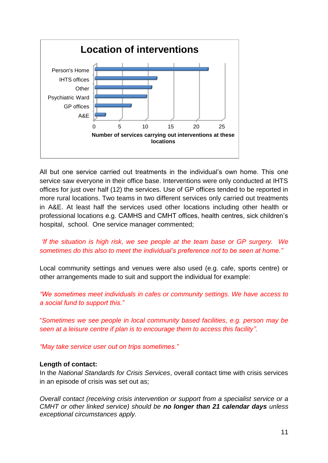

All but one service carried out treatments in the individual"s own home. This one service saw everyone in their office base. Interventions were only conducted at IHTS offices for just over half (12) the services. Use of GP offices tended to be reported in more rural locations. Two teams in two different services only carried out treatments in A&E. At least half the services used other locations including other health or professional locations e.g. CAMHS and CMHT offices, health centres, sick children"s hospital, school. One service manager commented;

# *"If the situation is high risk, we see people at the team base or GP surgery. We sometimes do this also to meet the individual"s preference not to be seen at home."*

Local community settings and venues were also used (e.g. cafe, sports centre) or other arrangements made to suit and support the individual for example:

*"We sometimes meet individuals in cafes or community settings. We have access to a social fund to support this."*

"*Sometimes we see people in local community based facilities, e.g. person may be seen at a leisure centre if plan is to encourage them to access this facility".*

*"May take service user out on trips sometimes."*

#### **Length of contact:**

In the *National Standards for Crisis Services*, overall contact time with crisis services in an episode of crisis was set out as;

*Overall contact (receiving crisis intervention or support from a specialist service or a CMHT or other linked service) should be no longer than 21 calendar days unless exceptional circumstances apply.*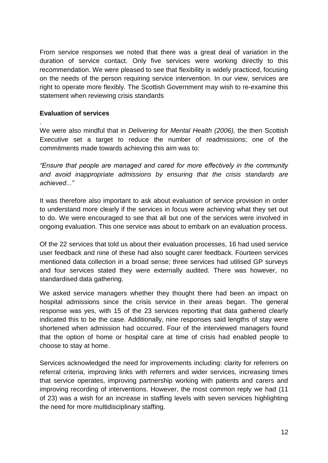From service responses we noted that there was a great deal of variation in the duration of service contact. Only five services were working directly to this recommendation. We were pleased to see that flexibility is widely practiced, focusing on the needs of the person requiring service intervention. In our view, services are right to operate more flexibly. The Scottish Government may wish to re-examine this statement when reviewing crisis standards

# **Evaluation of services**

.

We were also mindful that in *Delivering for Mental Health (2006),* the then Scottish Executive set a target to reduce the number of readmissions; one of the commitments made towards achieving this aim was to:

*"Ensure that people are managed and cared for more effectively in the community and avoid inappropriate admissions by ensuring that the crisis standards are achieved..."*

It was therefore also important to ask about evaluation of service provision in order to understand more clearly if the services in focus were achieving what they set out to do. We were encouraged to see that all but one of the services were involved in ongoing evaluation. This one service was about to embark on an evaluation process.

Of the 22 services that told us about their evaluation processes, 16 had used service user feedback and nine of these had also sought carer feedback. Fourteen services mentioned data collection in a broad sense; three services had utilised GP surveys and four services stated they were externally audited. There was however, no standardised data gathering.

We asked service managers whether they thought there had been an impact on hospital admissions since the crisis service in their areas began. The general response was yes, with 15 of the 23 services reporting that data gathered clearly indicated this to be the case. Additionally, nine responses said lengths of stay were shortened when admission had occurred. Four of the interviewed managers found that the option of home or hospital care at time of crisis had enabled people to choose to stay at home.

Services acknowledged the need for improvements including: clarity for referrers on referral criteria, improving links with referrers and wider services, increasing times that service operates, improving partnership working with patients and carers and improving recording of interventions. However, the most common reply we had (11 of 23) was a wish for an increase in staffing levels with seven services highlighting the need for more multidisciplinary staffing.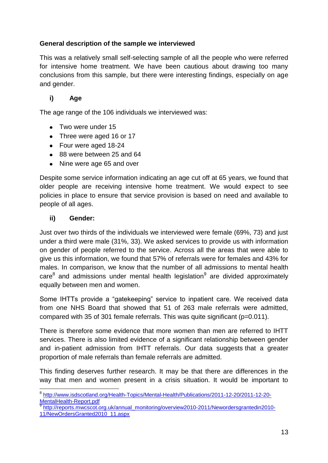# **General description of the sample we interviewed**

This was a relatively small self-selecting sample of all the people who were referred for intensive home treatment. We have been cautious about drawing too many conclusions from this sample, but there were interesting findings, especially on age and gender.

# **i) Age**

The age range of the 106 individuals we interviewed was:

- Two were under 15
- Three were aged 16 or 17
- Four were aged 18-24
- 88 were between 25 and 64
- Nine were age 65 and over  $\bullet$

Despite some service information indicating an age cut off at 65 years, we found that older people are receiving intensive home treatment. We would expect to see policies in place to ensure that service provision is based on need and available to people of all ages.

## **ii) Gender:**

1

Just over two thirds of the individuals we interviewed were female (69%, 73) and just under a third were male (31%, 33). We asked services to provide us with information on gender of people referred to the service. Across all the areas that were able to give us this information, we found that 57% of referrals were for females and 43% for males. In comparison, we know that the number of all admissions to mental health  $\text{care}^8$  and admissions under mental health legislation $^9$  are divided approximately equally between men and women.

Some IHTTs provide a "gatekeeping" service to inpatient care. We received data from one NHS Board that showed that 51 of 263 male referrals were admitted, compared with 35 of 301 female referrals. This was quite significant (p=0.011).

There is therefore some evidence that more women than men are referred to IHTT services. There is also limited evidence of a significant relationship between gender and in-patient admission from IHTT referrals. Our data suggests that a greater proportion of male referrals than female referrals are admitted.

This finding deserves further research. It may be that there are differences in the way that men and women present in a crisis situation. It would be important to

<sup>9</sup> [http://reports.mwcscot.org.uk/annual\\_monitoring/overview2010-2011/Newordersgrantedin2010-](http://reports.mwcscot.org.uk/annual_monitoring/overview2010-2011/Newordersgrantedin2010-11/NewOrdersGranted2010_11.aspx) [11/NewOrdersGranted2010\\_11.aspx](http://reports.mwcscot.org.uk/annual_monitoring/overview2010-2011/Newordersgrantedin2010-11/NewOrdersGranted2010_11.aspx)

<sup>&</sup>lt;sup>8</sup> [http://www.isdscotland.org/Health-Topics/Mental-Health/Publications/2011-12-20/2011-12-20-](http://www.isdscotland.org/Health-Topics/Mental-Health/Publications/2011-12-20/2011-12-20-MentalHealth-Report.pdf) [MentalHealth-Report.pdf](http://www.isdscotland.org/Health-Topics/Mental-Health/Publications/2011-12-20/2011-12-20-MentalHealth-Report.pdf)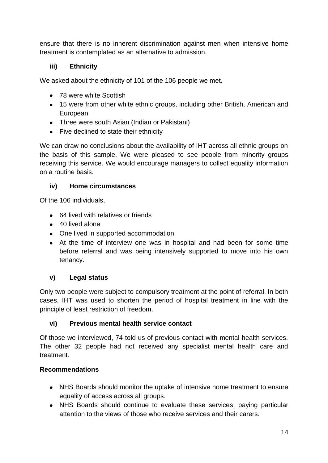ensure that there is no inherent discrimination against men when intensive home treatment is contemplated as an alternative to admission.

# **iii) Ethnicity**

We asked about the ethnicity of 101 of the 106 people we met.

- 78 were white Scottish
- 15 were from other white ethnic groups, including other British, American and European
- Three were south Asian (Indian or Pakistani)
- Five declined to state their ethnicity

We can draw no conclusions about the availability of IHT across all ethnic groups on the basis of this sample. We were pleased to see people from minority groups receiving this service. We would encourage managers to collect equality information on a routine basis.

# **iv) Home circumstances**

Of the 106 individuals,

- 64 lived with relatives or friends
- 40 lived alone
- One lived in supported accommodation
- At the time of interview one was in hospital and had been for some time before referral and was being intensively supported to move into his own tenancy.

# **v) Legal status**

Only two people were subject to compulsory treatment at the point of referral. In both cases, IHT was used to shorten the period of hospital treatment in line with the principle of least restriction of freedom.

# **vi) Previous mental health service contact**

Of those we interviewed, 74 told us of previous contact with mental health services. The other 32 people had not received any specialist mental health care and treatment.

# **Recommendations**

- NHS Boards should monitor the uptake of intensive home treatment to ensure equality of access across all groups.
- NHS Boards should continue to evaluate these services, paying particular attention to the views of those who receive services and their carers.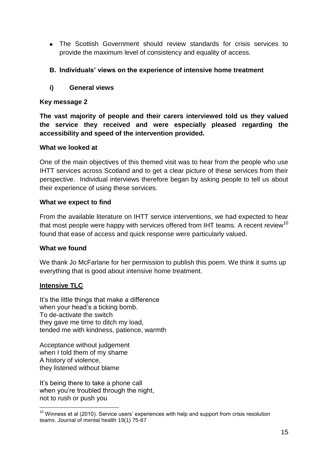The Scottish Government should review standards for crisis services to provide the maximum level of consistency and equality of access.

## **B. Individuals' views on the experience of intensive home treatment**

**i) General views**

## **Key message 2**

**The vast majority of people and their carers interviewed told us they valued the service they received and were especially pleased regarding the accessibility and speed of the intervention provided.**

#### **What we looked at**

One of the main objectives of this themed visit was to hear from the people who use IHTT services across Scotland and to get a clear picture of these services from their perspective. Individual interviews therefore began by asking people to tell us about their experience of using these services.

#### **What we expect to find**

From the available literature on IHTT service interventions, we had expected to hear that most people were happy with services offered from IHT teams. A recent review<sup>10</sup> found that ease of access and quick response were particularly valued.

# **What we found**

We thank Jo McFarlane for her permission to publish this poem. We think it sums up everything that is good about intensive home treatment.

#### **Intensive TLC**

1

It's the little things that make a difference when your head's a ticking bomb. To de-activate the switch they gave me time to ditch my load, tended me with kindness, patience, warmth

Acceptance without judgement when I told them of my shame A history of violence, they listened without blame

It's being there to take a phone call when you"re troubled through the night, not to rush or push you

 $10$  Winness et al (2010). Service users' experiences with help and support from crisis resolution teams. Journal of mental health 19(1) 75-87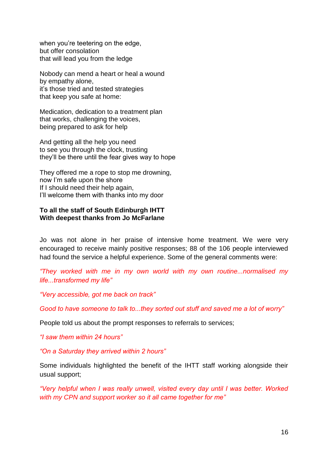when you're teetering on the edge, but offer consolation that will lead you from the ledge

Nobody can mend a heart or heal a wound by empathy alone, it"s those tried and tested strategies that keep you safe at home:

Medication, dedication to a treatment plan that works, challenging the voices, being prepared to ask for help

And getting all the help you need to see you through the clock, trusting they"ll be there until the fear gives way to hope

They offered me a rope to stop me drowning, now I"m safe upon the shore If I should need their help again, I"ll welcome them with thanks into my door

#### **To all the staff of South Edinburgh IHTT With deepest thanks from Jo McFarlane**

Jo was not alone in her praise of intensive home treatment. We were very encouraged to receive mainly positive responses; 88 of the 106 people interviewed had found the service a helpful experience. Some of the general comments were:

*"They worked with me in my own world with my own routine...normalised my life...transformed my life"*

*"Very accessible, got me back on track"*

*Good to have someone to talk to...they sorted out stuff and saved me a lot of worry"*

People told us about the prompt responses to referrals to services;

*"I saw them within 24 hours"*

*"On a Saturday they arrived within 2 hours"*

Some individuals highlighted the benefit of the IHTT staff working alongside their usual support;

*"Very helpful when I was really unwell, visited every day until I was better. Worked with my CPN and support worker so it all came together for me"*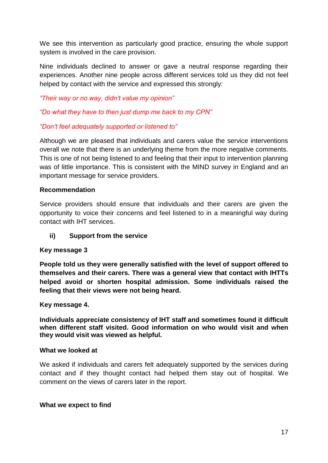We see this intervention as particularly good practice, ensuring the whole support system is involved in the care provision.

Nine individuals declined to answer or gave a neutral response regarding their experiences. Another nine people across different services told us they did not feel helped by contact with the service and expressed this strongly:

*"Their way or no way, didn"t value my opinion"*

*"Do what they have to then just dump me back to my CPN"*

# *"Don"t feel adequately supported or listened to"*

Although we are pleased that individuals and carers value the service interventions overall we note that there is an underlying theme from the more negative comments. This is one of not being listened to and feeling that their input to intervention planning was of little importance. This is consistent with the MIND survey in England and an important message for service providers.

# **Recommendation**

Service providers should ensure that individuals and their carers are given the opportunity to voice their concerns and feel listened to in a meaningful way during contact with IHT services.

# **ii) Support from the service**

# **Key message 3**

**People told us they were generally satisfied with the level of support offered to themselves and their carers. There was a general view that contact with IHTTs helped avoid or shorten hospital admission. Some individuals raised the feeling that their views were not being heard.**

# **Key message 4.**

**Individuals appreciate consistency of IHT staff and sometimes found it difficult when different staff visited. Good information on who would visit and when they would visit was viewed as helpful.**

#### **What we looked at**

We asked if individuals and carers felt adequately supported by the services during contact and if they thought contact had helped them stay out of hospital. We comment on the views of carers later in the report.

#### **What we expect to find**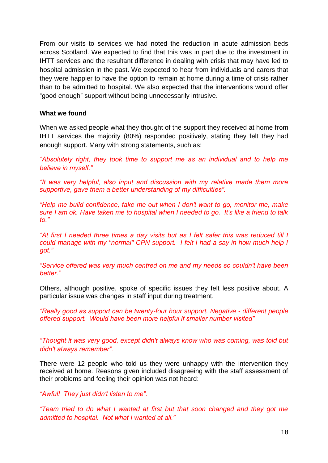From our visits to services we had noted the reduction in acute admission beds across Scotland. We expected to find that this was in part due to the investment in IHTT services and the resultant difference in dealing with crisis that may have led to hospital admission in the past. We expected to hear from individuals and carers that they were happier to have the option to remain at home during a time of crisis rather than to be admitted to hospital. We also expected that the interventions would offer "good enough" support without being unnecessarily intrusive.

#### **What we found**

When we asked people what they thought of the support they received at home from IHTT services the majority (80%) responded positively, stating they felt they had enough support. Many with strong statements, such as:

*"Absolutely right, they took time to support me as an individual and to help me believe in myself."*

*"It was very helpful, also input and discussion with my relative made them more supportive, gave them a better understanding of my difficulties".*

*"Help me build confidence, take me out when I don't want to go, monitor me, make sure I am ok. Have taken me to hospital when I needed to go. It's like a friend to talk to."*

*"At first I needed three times a day visits but as I felt safer this was reduced till I could manage with my "normal" CPN support. I felt I had a say in how much help I got."*

*"Service offered was very much centred on me and my needs so couldn't have been better."*

Others, although positive, spoke of specific issues they felt less positive about. A particular issue was changes in staff input during treatment.

*"Really good as support can be twenty-four hour support. Negative - different people offered support. Would have been more helpful if smaller number visited"*

*"Thought it was very good, except didn't always know who was coming, was told but didn't always remember".*

There were 12 people who told us they were unhappy with the intervention they received at home. Reasons given included disagreeing with the staff assessment of their problems and feeling their opinion was not heard:

*"Awful! They just didn't listen to me".*

*"Team tried to do what I wanted at first but that soon changed and they got me admitted to hospital. Not what I wanted at all."*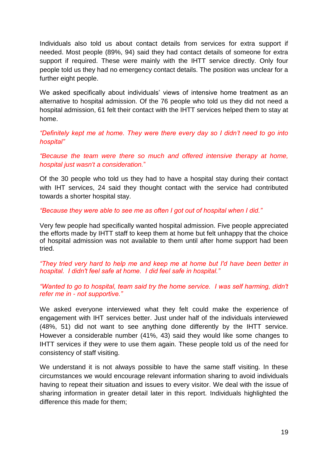Individuals also told us about contact details from services for extra support if needed. Most people (89%, 94) said they had contact details of someone for extra support if required. These were mainly with the IHTT service directly. Only four people told us they had no emergency contact details. The position was unclear for a further eight people.

We asked specifically about individuals' views of intensive home treatment as an alternative to hospital admission. Of the 76 people who told us they did not need a hospital admission, 61 felt their contact with the IHTT services helped them to stay at home.

*"Definitely kept me at home. They were there every day so I didn"t need to go into hospital"*

*"Because the team were there so much and offered intensive therapy at home, hospital just wasn't a consideration.*"

Of the 30 people who told us they had to have a hospital stay during their contact with IHT services, 24 said they thought contact with the service had contributed towards a shorter hospital stay.

*"Because they were able to see me as often I got out of hospital when I did."*

Very few people had specifically wanted hospital admission. Five people appreciated the efforts made by IHTT staff to keep them at home but felt unhappy that the choice of hospital admission was not available to them until after home support had been tried.

*"They tried very hard to help me and keep me at home but I'd have been better in hospital. I didn't feel safe at home. I did feel safe in hospital."*

*"Wanted to go to hospital, team said try the home service. I was self harming, didn't refer me in - not supportive."*

We asked everyone interviewed what they felt could make the experience of engagement with IHT services better. Just under half of the individuals interviewed (48%, 51) did not want to see anything done differently by the IHTT service. However a considerable number (41%, 43) said they would like some changes to IHTT services if they were to use them again. These people told us of the need for consistency of staff visiting.

We understand it is not always possible to have the same staff visiting. In these circumstances we would encourage relevant information sharing to avoid individuals having to repeat their situation and issues to every visitor. We deal with the issue of sharing information in greater detail later in this report. Individuals highlighted the difference this made for them;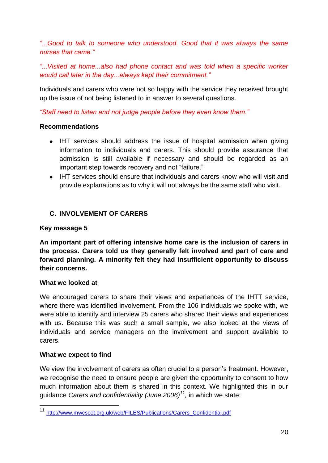*"...Good to talk to someone who understood. Good that it was always the same nurses that came."*

*"...Visited at home...also had phone contact and was told when a specific worker would call later in the day...always kept their commitment."*

Individuals and carers who were not so happy with the service they received brought up the issue of not being listened to in answer to several questions.

*"Staff need to listen and not judge people before they even know them."*

# **Recommendations**

- IHT services should address the issue of hospital admission when giving information to individuals and carers. This should provide assurance that admission is still available if necessary and should be regarded as an important step towards recovery and not "failure."
- IHT services should ensure that individuals and carers know who will visit and provide explanations as to why it will not always be the same staff who visit.

# **C. INVOLVEMENT OF CARERS**

# **Key message 5**

**An important part of offering intensive home care is the inclusion of carers in the process. Carers told us they generally felt involved and part of care and forward planning. A minority felt they had insufficient opportunity to discuss their concerns.**

# **What we looked at**

We encouraged carers to share their views and experiences of the IHTT service, where there was identified involvement. From the 106 individuals we spoke with, we were able to identify and interview 25 carers who shared their views and experiences with us. Because this was such a small sample, we also looked at the views of individuals and service managers on the involvement and support available to carers.

# **What we expect to find**

1

We view the involvement of carers as often crucial to a person's treatment. However, we recognise the need to ensure people are given the opportunity to consent to how much information about them is shared in this context. We highlighted this in our guidance *Carers and confidentiality (June 2006)<sup>11</sup> ,* in which we state:

<sup>11</sup> [http://www.mwcscot.org.uk/web/FILES/Publications/Carers\\_Confidential.pdf](http://www.mwcscot.org.uk/web/FILES/Publications/Carers_Confidential.pdf)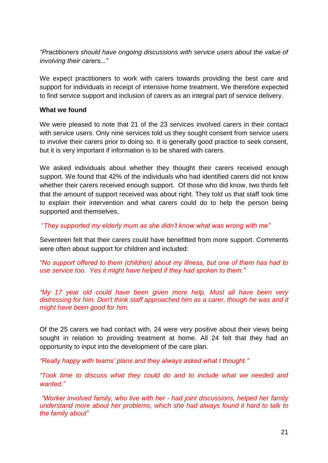*"Practitioners should have ongoing discussions with service users about the value of involving their carers..."*

We expect practitioners to work with carers towards providing the best care and support for individuals in receipt of intensive home treatment. We therefore expected to find service support and inclusion of carers as an integral part of service delivery.

#### **What we found**

We were pleased to note that 21 of the 23 services involved carers in their contact with service users. Only nine services told us they sought consent from service users to involve their carers prior to doing so. It is generally good practice to seek consent, but it is very important if information is to be shared with carers.

We asked individuals about whether they thought their carers received enough support. We found that 42% of the individuals who had identified carers did not know whether their carers received enough support. Of those who did know, two thirds felt that the amount of support received was about right. They told us that staff took time to explain their intervention and what carers could do to help the person being supported and themselves,

"*They supported my elderly mum as she didn"t know what was wrong with me"*

Seventeen felt that their carers could have benefitted from more support. Comments were often about support for children and included:

*"No support offered to them (children) about my illness, but one of them has had to use service too. Yes it might have helped if they had spoken to them."*

*"My 17 year old could have been given more help. Must all have been very distressing for him. Don't think staff approached him as a carer, though he was and it might have been good for him.*

Of the 25 carers we had contact with, 24 were very positive about their views being sought in relation to providing treatment at home. All 24 felt that they had an opportunity to input into the development of the care plan.

*"Really happy with teams" plans and they always asked what I thought."* 

*"Took time to discuss what they could do and to include what we needed and wanted."*

*"Worker involved family, who live with her - had joint discussions, helped her family understand more about her problems, which she had always found it hard to talk to the family about"*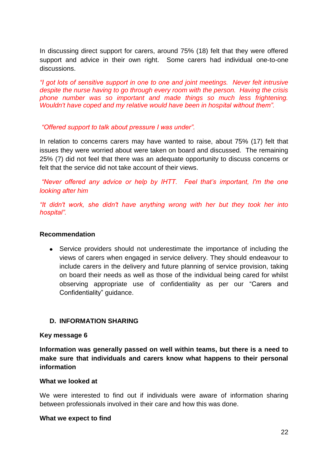In discussing direct support for carers, around 75% (18) felt that they were offered support and advice in their own right. Some carers had individual one-to-one discussions.

*"I got lots of sensitive support in one to one and joint meetings. Never felt intrusive despite the nurse having to go through every room with the person. Having the crisis phone number was so important and made things so much less frightening. Wouldn't have coped and my relative would have been in hospital without them".* 

#### *"Offered support to talk about pressure I was under".*

In relation to concerns carers may have wanted to raise, about 75% (17) felt that issues they were worried about were taken on board and discussed. The remaining 25% (7) did not feel that there was an adequate opportunity to discuss concerns or felt that the service did not take account of their views.

*"Never offered any advice or help by IHTT. Feel that"s important, I'm the one looking after him*

*"It didn't work, she didn't have anything wrong with her but they took her into hospital".*

#### **Recommendation**

Service providers should not underestimate the importance of including the views of carers when engaged in service delivery. They should endeavour to include carers in the delivery and future planning of service provision, taking on board their needs as well as those of the individual being cared for whilst observing appropriate use of confidentiality as per our "Carers and Confidentiality" guidance.

# **D. INFORMATION SHARING**

#### **Key message 6**

**Information was generally passed on well within teams, but there is a need to make sure that individuals and carers know what happens to their personal information**

#### **What we looked at**

We were interested to find out if individuals were aware of information sharing between professionals involved in their care and how this was done.

#### **What we expect to find**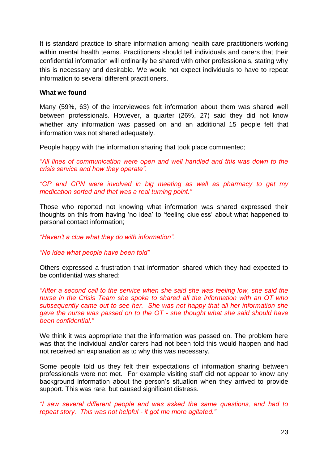It is standard practice to share information among health care practitioners working within mental health teams. Practitioners should tell individuals and carers that their confidential information will ordinarily be shared with other professionals, stating why this is necessary and desirable. We would not expect individuals to have to repeat information to several different practitioners.

#### **What we found**

Many (59%, 63) of the interviewees felt information about them was shared well between professionals. However, a quarter (26%, 27) said they did not know whether any information was passed on and an additional 15 people felt that information was not shared adequately.

People happy with the information sharing that took place commented;

*"All lines of communication were open and well handled and this was down to the crisis service and how they operate".*

*"GP and CPN were involved in big meeting as well as pharmacy to get my medication sorted and that was a real turning point."*

Those who reported not knowing what information was shared expressed their thoughts on this from having "no idea" to "feeling clueless" about what happened to personal contact information;

*"Haven't a clue what they do with information".*

*"No idea what people have been told"*

Others expressed a frustration that information shared which they had expected to be confidential was shared:

*"After a second call to the service when she said she was feeling low, she said the nurse in the Crisis Team she spoke to shared all the information with an OT who subsequently came out to see her. She was not happy that all her information she gave the nurse was passed on to the OT - she thought what she said should have been confidential."*

We think it was appropriate that the information was passed on. The problem here was that the individual and/or carers had not been told this would happen and had not received an explanation as to why this was necessary.

Some people told us they felt their expectations of information sharing between professionals were not met. For example visiting staff did not appear to know any background information about the person"s situation when they arrived to provide support. This was rare, but caused significant distress.

*"I saw several different people and was asked the same questions, and had to repeat story. This was not helpful - it got me more agitated."*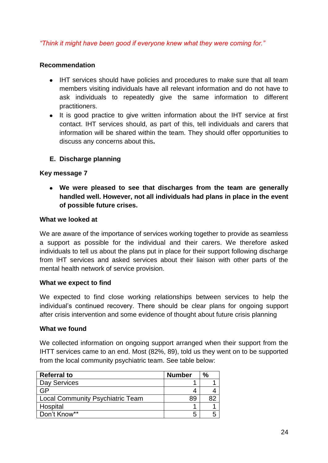# *"Think it might have been good if everyone knew what they were coming for."*

## **Recommendation**

- IHT services should have policies and procedures to make sure that all team members visiting individuals have all relevant information and do not have to ask individuals to repeatedly give the same information to different practitioners.
- It is good practice to give written information about the IHT service at first contact. IHT services should, as part of this, tell individuals and carers that information will be shared within the team. They should offer opportunities to discuss any concerns about this**.**
- **E. Discharge planning**

## **Key message 7**

**We were pleased to see that discharges from the team are generally handled well. However, not all individuals had plans in place in the event of possible future crises.**

#### **What we looked at**

We are aware of the importance of services working together to provide as seamless a support as possible for the individual and their carers. We therefore asked individuals to tell us about the plans put in place for their support following discharge from IHT services and asked services about their liaison with other parts of the mental health network of service provision.

#### **What we expect to find**

We expected to find close working relationships between services to help the individual"s continued recovery. There should be clear plans for ongoing support after crisis intervention and some evidence of thought about future crisis planning

#### **What we found**

We collected information on ongoing support arranged when their support from the IHTT services came to an end. Most (82%, 89), told us they went on to be supported from the local community psychiatric team. See table below:

| <b>Referral to</b>                      | <b>Number</b> | $\%$ |
|-----------------------------------------|---------------|------|
| Day Services                            |               |      |
| GP                                      |               |      |
| <b>Local Community Psychiatric Team</b> | 89            |      |
| Hospital                                |               |      |
| Don't Know**                            | b             |      |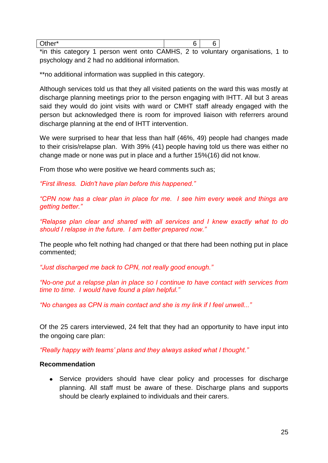| $*$ in this catagory 1 person wont onto CAMHS 2 to voluntary ergy |  |  |
|-------------------------------------------------------------------|--|--|

\*in this category 1 person went onto CAMHS, 2 to voluntary organisations, 1 to psychology and 2 had no additional information.

\*\*no additional information was supplied in this category.

Although services told us that they all visited patients on the ward this was mostly at discharge planning meetings prior to the person engaging with IHTT. All but 3 areas said they would do joint visits with ward or CMHT staff already engaged with the person but acknowledged there is room for improved liaison with referrers around discharge planning at the end of IHTT intervention.

We were surprised to hear that less than half (46%, 49) people had changes made to their crisis/relapse plan. With 39% (41) people having told us there was either no change made or none was put in place and a further 15%(16) did not know.

From those who were positive we heard comments such as;

*"First illness. Didn't have plan before this happened."*

*"CPN now has a clear plan in place for me. I see him every week and things are getting better."*

*"Relapse plan clear and shared with all services and I knew exactly what to do should I relapse in the future. I am better prepared now."*

The people who felt nothing had changed or that there had been nothing put in place commented;

*"Just discharged me back to CPN, not really good enough."*

*"No-one put a relapse plan in place so I continue to have contact with services from time to time. I would have found a plan helpful."*

*"No changes as CPN is main contact and she is my link if I feel unwell..."*

Of the 25 carers interviewed, 24 felt that they had an opportunity to have input into the ongoing care plan:

*"Really happy with teams" plans and they always asked what I thought."* 

#### **Recommendation**

• Service providers should have clear policy and processes for discharge planning. All staff must be aware of these. Discharge plans and supports should be clearly explained to individuals and their carers.